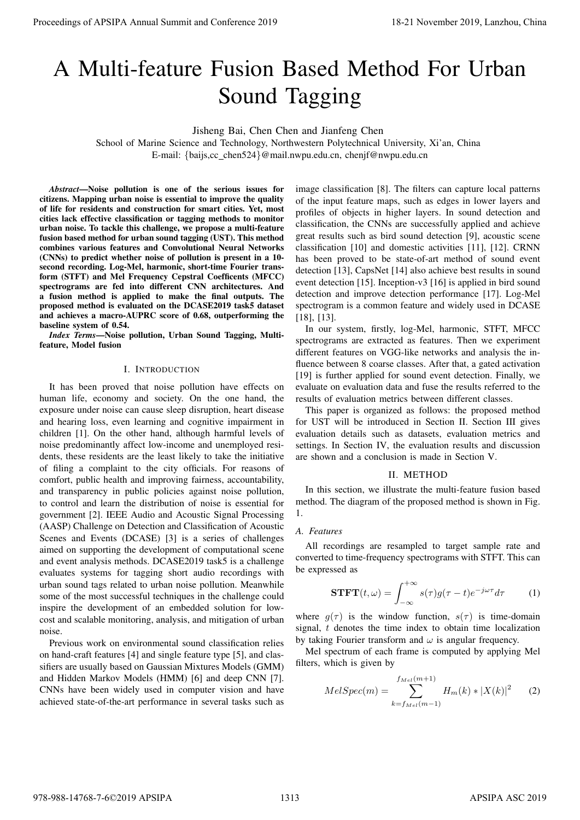# A Multi-feature Fusion Based Method For Urban Sound Tagging

Jisheng Bai, Chen Chen and Jianfeng Chen

School of Marine Science and Technology, Northwestern Polytechnical University, Xi'an, China E-mail: {baijs,cc chen524}@mail.nwpu.edu.cn, chenjf@nwpu.edu.cn

*Abstract*—Noise pollution is one of the serious issues for citizens. Mapping urban noise is essential to improve the quality of life for residents and construction for smart cities. Yet, most cities lack effective classification or tagging methods to monitor urban noise. To tackle this challenge, we propose a multi-feature fusion based method for urban sound tagging (UST). This method combines various features and Convolutional Neural Networks (CNNs) to predict whether noise of pollution is present in a 10 second recording. Log-Mel, harmonic, short-time Fourier transform (STFT) and Mel Frequency Cepstral Coefficents (MFCC) spectrograms are fed into different CNN architectures. And a fusion method is applied to make the final outputs. The proposed method is evaluated on the DCASE2019 task5 dataset and achieves a macro-AUPRC score of 0.68, outperforming the baseline system of 0.54.

*Index Terms*—Noise pollution, Urban Sound Tagging, Multifeature, Model fusion

#### I. INTRODUCTION

It has been proved that noise pollution have effects on human life, economy and society. On the one hand, the exposure under noise can cause sleep disruption, heart disease and hearing loss, even learning and cognitive impairment in children [1]. On the other hand, although harmful levels of noise predominantly affect low-income and unemployed residents, these residents are the least likely to take the initiative of filing a complaint to the city officials. For reasons of comfort, public health and improving fairness, accountability, and transparency in public policies against noise pollution, to control and learn the distribution of noise is essential for government [2]. IEEE Audio and Acoustic Signal Processing (AASP) Challenge on Detection and Classification of Acoustic Scenes and Events (DCASE) [3] is a series of challenges aimed on supporting the development of computational scene and event analysis methods. DCASE2019 task5 is a challenge evaluates systems for tagging short audio recordings with urban sound tags related to urban noise pollution. Meanwhile some of the most successful techniques in the challenge could inspire the development of an embedded solution for lowcost and scalable monitoring, analysis, and mitigation of urban noise. **Proceedings of APSIPA Annual Summit and Conference 2019**<br> **A** Mulleti-featuure Fusion Same Manne Routine Conference 2019<br>
Sabout extent and china 978-988-14768-7-6 China 978-988-14768-7-6 China 978-988-14768-7-6 China 97

Previous work on environmental sound classification relies on hand-craft features [4] and single feature type [5], and classifiers are usually based on Gaussian Mixtures Models (GMM) and Hidden Markov Models (HMM) [6] and deep CNN [7]. CNNs have been widely used in computer vision and have achieved state-of-the-art performance in several tasks such as

image classification [8]. The filters can capture local patterns of the input feature maps, such as edges in lower layers and profiles of objects in higher layers. In sound detection and classification, the CNNs are successfully applied and achieve great results such as bird sound detection [9], acoustic scene classification [10] and domestic activities [11], [12]. CRNN has been proved to be state-of-art method of sound event detection [13], CapsNet [14] also achieve best results in sound event detection [15]. Inception-v3 [16] is applied in bird sound detection and improve detection performance [17]. Log-Mel spectrogram is a common feature and widely used in DCASE [18], [13].

In our system, firstly, log-Mel, harmonic, STFT, MFCC spectrograms are extracted as features. Then we experiment different features on VGG-like networks and analysis the influence between 8 coarse classes. After that, a gated activation [19] is further applied for sound event detection. Finally, we evaluate on evaluation data and fuse the results referred to the results of evaluation metrics between different classes.

This paper is organized as follows: the proposed method for UST will be introduced in Section II. Section III gives evaluation details such as datasets, evaluation metrics and settings. In Section IV, the evaluation results and discussion are shown and a conclusion is made in Section V.

#### II. METHOD

In this section, we illustrate the multi-feature fusion based method. The diagram of the proposed method is shown in Fig. 1.

# *A. Features*

All recordings are resampled to target sample rate and converted to time-frequency spectrograms with STFT. This can be expressed as

$$
\mathbf{STFT}(t,\omega) = \int_{-\infty}^{+\infty} s(\tau)g(\tau - t)e^{-j\omega\tau}d\tau \tag{1}
$$

where  $g(\tau)$  is the window function,  $s(\tau)$  is time-domain signal, t denotes the time index to obtain time localization by taking Fourier transform and  $\omega$  is angular frequency.

Mel spectrum of each frame is computed by applying Mel filters, which is given by

$$
MelSpec(m) = \sum_{k=f_{Mel}(m-1)}^{f_{Mel}(m+1)} H_m(k) * |X(k)|^2
$$
 (2)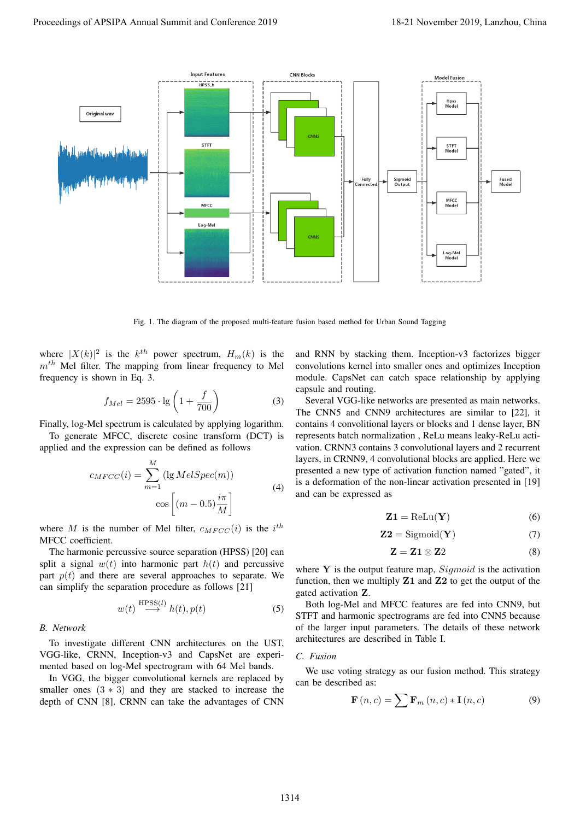

Fig. 1. The diagram of the proposed multi-feature fusion based method for Urban Sound Tagging

where  $|X(k)|^2$  is the  $k^{th}$  power spectrum,  $H_m(k)$  is the  $m<sup>th</sup>$  Mel filter. The mapping from linear frequency to Mel frequency is shown in Eq. 3.

$$
f_{Mel} = 2595 \cdot \lg \left( 1 + \frac{f}{700} \right) \tag{3}
$$

Finally, log-Mel spectrum is calculated by applying logarithm.

To generate MFCC, discrete cosine transform (DCT) is applied and the expression can be defined as follows

$$
c_{MFCC}(i) = \sum_{m=1}^{M} (\lg MelSpec(m))
$$
  

$$
\cos \left[ (m - 0.5) \frac{i\pi}{M} \right]
$$
 (4)

where M is the number of Mel filter,  $c_{MFCC}(i)$  is the  $i^{th}$ MFCC coefficient.

The harmonic percussive source separation (HPSS) [20] can split a signal  $w(t)$  into harmonic part  $h(t)$  and percussive part  $p(t)$  and there are several approaches to separate. We can simplify the separation procedure as follows [21]

$$
w(t) \stackrel{\text{HPSS}(l)}{\longrightarrow} h(t), p(t) \tag{5}
$$

#### *B. Network*

To investigate different CNN architectures on the UST, VGG-like, CRNN, Inception-v3 and CapsNet are experimented based on log-Mel spectrogram with 64 Mel bands.

In VGG, the bigger convolutional kernels are replaced by smaller ones  $(3 \times 3)$  and they are stacked to increase the depth of CNN [8]. CRNN can take the advantages of CNN and RNN by stacking them. Inception-v3 factorizes bigger convolutions kernel into smaller ones and optimizes Inception module. CapsNet can catch space relationship by applying capsule and routing.

Several VGG-like networks are presented as main networks. The CNN5 and CNN9 architectures are similar to [22], it contains 4 convolitional layers or blocks and 1 dense layer, BN represents batch normalization , ReLu means leaky-ReLu activation. CRNN3 contains 3 convolutional layers and 2 recurrent layers, in CRNN9, 4 convolutional blocks are applied. Here we presented a new type of activation function named "gated", it is a deformation of the non-linear activation presented in [19] and can be expressed as

$$
\mathbf{Z1} = \text{ReLu}(\mathbf{Y})\tag{6}
$$

$$
Z2 = \text{Sigmoid}(Y) \tag{7}
$$

$$
\mathbf{Z} = \mathbf{Z} \mathbf{1} \otimes \mathbf{Z} \mathbf{2} \tag{8}
$$

where  $Y$  is the output feature map,  $Sigmoid$  is the activation function, then we multiply  $Z1$  and  $Z2$  to get the output of the gated activation Z.

Both log-Mel and MFCC features are fed into CNN9, but STFT and harmonic spectrograms are fed into CNN5 because of the larger input parameters. The details of these network architectures are described in Table I.

#### *C. Fusion*

We use voting strategy as our fusion method. This strategy can be described as:

$$
\mathbf{F}(n,c) = \sum \mathbf{F}_m(n,c) * \mathbf{I}(n,c)
$$
 (9)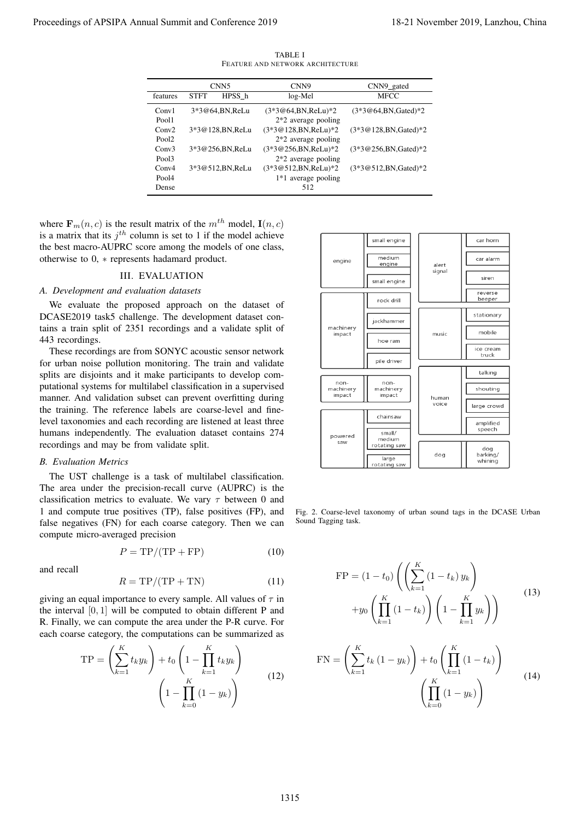|                   | CNN <sub>5</sub> |                   | CNN <sub>9</sub>        | CNN9_gated               |
|-------------------|------------------|-------------------|-------------------------|--------------------------|
| features          | <b>STFT</b>      | HPSS h            | log-Mel                 | <b>MFCC</b>              |
| Conv1             |                  | 3*3@64.BN.ReLu    | $(3*3@64,BN,ReLU)*2$    | $(3*3@64, BN, Gated)*2$  |
| Pool1             |                  |                   | $2*2$ average pooling   |                          |
| Conv2             |                  | 3*3@128, BN, ReLu | $(3*3@128,BN, ReLu)*2$  | $(3*3@128,BN,Gated)*2$   |
| Pool <sub>2</sub> |                  |                   | $2*2$ average pooling   |                          |
| Conv3             |                  | 3*3@256,BN,ReLu   | $(3*3@256, BN, ReLu)*2$ | $(3*3@256, BN, Gated)*2$ |
| Pool3             |                  |                   | $2*2$ average pooling   |                          |
| Conv4             |                  | 3*3@512,BN,ReLu   | (3*3@512,BN,ReLu)*2     | $(3*3@512,BN,Gated)*2$   |
| Pool4             |                  |                   | 1*1 average pooling     |                          |
| Dense             |                  |                   | 512                     |                          |

TABLE I FEATURE AND NETWORK ARCHITECTURE

where  $\mathbf{F}_m(n, c)$  is the result matrix of the  $m^{th}$  model,  $\mathbf{I}(n, c)$ is a matrix that its  $j<sup>th</sup>$  column is set to 1 if the model achieve the best macro-AUPRC score among the models of one class, otherwise to 0, ∗ represents hadamard product.

## III. EVALUATION

## *A. Development and evaluation datasets*

We evaluate the proposed approach on the dataset of DCASE2019 task5 challenge. The development dataset contains a train split of 2351 recordings and a validate split of 443 recordings.

These recordings are from SONYC acoustic sensor network for urban noise pollution monitoring. The train and validate splits are disjoints and it make participants to develop computational systems for multilabel classification in a supervised manner. And validation subset can prevent overfitting during the training. The reference labels are coarse-level and finelevel taxonomies and each recording are listened at least three humans independently. The evaluation dataset contains 274 recordings and may be from validate split.

# *B. Evaluation Metrics*

The UST challenge is a task of multilabel classification. The area under the precision-recall curve (AUPRC) is the classification metrics to evaluate. We vary  $\tau$  between 0 and 1 and compute true positives (TP), false positives (FP), and false negatives (FN) for each coarse category. Then we can compute micro-averaged precision

$$
P = \text{TP}/(\text{TP} + \text{FP})\tag{10}
$$

and recall

$$
R = \text{TP}/(\text{TP} + \text{TN})\tag{11}
$$

giving an equal importance to every sample. All values of  $\tau$  in the interval  $[0, 1]$  will be computed to obtain different P and R. Finally, we can compute the area under the P-R curve. For each coarse category, the computations can be summarized as

$$
TP = \left(\sum_{k=1}^{K} t_k y_k\right) + t_0 \left(1 - \prod_{k=1}^{K} t_k y_k\right)
$$

$$
\left(1 - \prod_{k=0}^{K} (1 - y_k)\right)
$$
(12)



Fig. 2. Coarse-level taxonomy of urban sound tags in the DCASE Urban Sound Tagging task.

$$
\text{FP} = (1 - t_0) \left( \left( \sum_{k=1}^{K} (1 - t_k) y_k \right) + y_0 \left( \prod_{k=1}^{K} (1 - t_k) \right) \left( 1 - \prod_{k=1}^{K} y_k \right) \right) \tag{13}
$$

$$
FN = \left(\sum_{k=1}^{K} t_k (1 - y_k)\right) + t_0 \left(\prod_{k=1}^{K} (1 - t_k)\right)
$$
  

$$
\left(\prod_{k=0}^{K} (1 - y_k)\right)
$$
 (14)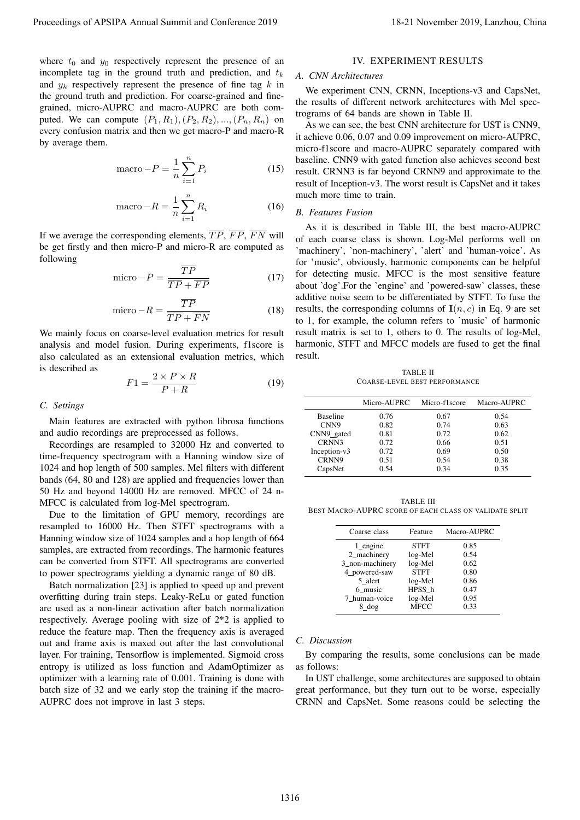where  $t_0$  and  $y_0$  respectively represent the presence of an incomplete tag in the ground truth and prediction, and  $t_k$ and  $y_k$  respectively represent the presence of fine tag k in the ground truth and prediction. For coarse-grained and finegrained, micro-AUPRC and macro-AUPRC are both computed. We can compute  $(P_1, R_1), (P_2, R_2), ..., (P_n, R_n)$  on every confusion matrix and then we get macro-P and macro-R by average them.

$$
\text{macro} - P = \frac{1}{n} \sum_{i=1}^{n} P_i \tag{15}
$$

$$
\text{macro} - R = \frac{1}{n} \sum_{i=1}^{n} R_i \tag{16}
$$

If we average the corresponding elements,  $\overline{TP}$ ,  $\overline{FP}$ ,  $\overline{FN}$  will be get firstly and then micro-P and micro-R are computed as following

$$
\text{micro} - P = \frac{\overline{TP}}{\overline{TP} + \overline{FP}} \tag{17}
$$

$$
\text{micro} - R = \frac{\overline{TP}}{\overline{TP} + \overline{FN}}\tag{18}
$$

We mainly focus on coarse-level evaluation metrics for result analysis and model fusion. During experiments, f1score is also calculated as an extensional evaluation metrics, which is described as

$$
F1 = \frac{2 \times P \times R}{P + R} \tag{19}
$$

#### *C. Settings*

Main features are extracted with python librosa functions and audio recordings are preprocessed as follows.

Recordings are resampled to 32000 Hz and converted to time-frequency spectrogram with a Hanning window size of 1024 and hop length of 500 samples. Mel filters with different bands (64, 80 and 128) are applied and frequencies lower than 50 Hz and beyond 14000 Hz are removed. MFCC of 24 n-MFCC is calculated from log-Mel spectrogram.

Due to the limitation of GPU memory, recordings are resampled to 16000 Hz. Then STFT spectrograms with a Hanning window size of 1024 samples and a hop length of 664 samples, are extracted from recordings. The harmonic features can be converted from STFT. All spectrograms are converted to power spectrograms yielding a dynamic range of 80 dB.

Batch normalization [23] is applied to speed up and prevent overfitting during train steps. Leaky-ReLu or gated function are used as a non-linear activation after batch normalization respectively. Average pooling with size of 2\*2 is applied to reduce the feature map. Then the frequency axis is averaged out and frame axis is maxed out after the last convolutional layer. For training, Tensorflow is implemented. Sigmoid cross entropy is utilized as loss function and AdamOptimizer as optimizer with a learning rate of 0.001. Training is done with batch size of 32 and we early stop the training if the macro-AUPRC does not improve in last 3 steps.

## IV. EXPERIMENT RESULTS

#### *A. CNN Architectures*

We experiment CNN, CRNN, Inceptions-v3 and CapsNet, the results of different network architectures with Mel spectrograms of 64 bands are shown in Table II.

As we can see, the best CNN architecture for UST is CNN9, it achieve 0.06, 0.07 and 0.09 improvement on micro-AUPRC, micro-f1score and macro-AUPRC separately compared with baseline. CNN9 with gated function also achieves second best result. CRNN3 is far beyond CRNN9 and approximate to the result of Inception-v3. The worst result is CapsNet and it takes much more time to train.

#### *B. Features Fusion*

As it is described in Table III, the best macro-AUPRC of each coarse class is shown. Log-Mel performs well on 'machinery', 'non-machinery', 'alert' and 'human-voice'. As for 'music', obviously, harmonic components can be helpful for detecting music. MFCC is the most sensitive feature about 'dog'.For the 'engine' and 'powered-saw' classes, these additive noise seem to be differentiated by STFT. To fuse the results, the corresponding columns of  $I(n, c)$  in Eq. 9 are set to 1, for example, the column refers to 'music' of harmonic result matrix is set to 1, others to 0. The results of log-Mel, harmonic, STFT and MFCC models are fused to get the final result. Proceedings of APSIPA Annual Summit at Conference 2019<br>
along the proceeding of APSIPA Annual Summit and Conference 2019<br>
income by the process of the conference 2019, Langlace 2019, Langlace 2019, Langlace 2019, Langlace

TABLE II COARSE-LEVEL BEST PERFORMANCE

|                 | Micro-AUPRC | Micro-f1 score | Macro-AUPRC |
|-----------------|-------------|----------------|-------------|
| <b>Baseline</b> | 0.76        | 0.67           | 0.54        |
| CNN9            | 0.82        | 0.74           | 0.63        |
| CNN9_gated      | 0.81        | 0.72           | 0.62        |
| CRNN3           | 0.72        | 0.66           | 0.51        |
| Inception-v3    | 0.72        | 0.69           | 0.50        |
| CRNN9           | 0.51        | 0.54           | 0.38        |
| CapsNet         | 0.54        | 0.34           | 0.35        |

TABLE III BEST MACRO-AUPRC SCORE OF EACH CLASS ON VALIDATE SPLIT

| Coarse class    | Feature     | Macro-AUPRC |
|-----------------|-------------|-------------|
| $1$ engine      | <b>STFT</b> | 0.85        |
| 2_machinery     | log-Mel     | 0.54        |
| 3_non-machinery | log-Mel     | 0.62        |
| 4 powered-saw   | <b>STFT</b> | 0.80        |
| 5 alert         | log-Mel     | 0.86        |
| 6 music         | HPSS h      | 0.47        |
| 7 human-voice   | log-Mel     | 0.95        |
| 8 dog           | <b>MFCC</b> | 0.33        |

#### *C. Discussion*

By comparing the results, some conclusions can be made as follows:

In UST challenge, some architectures are supposed to obtain great performance, but they turn out to be worse, especially CRNN and CapsNet. Some reasons could be selecting the